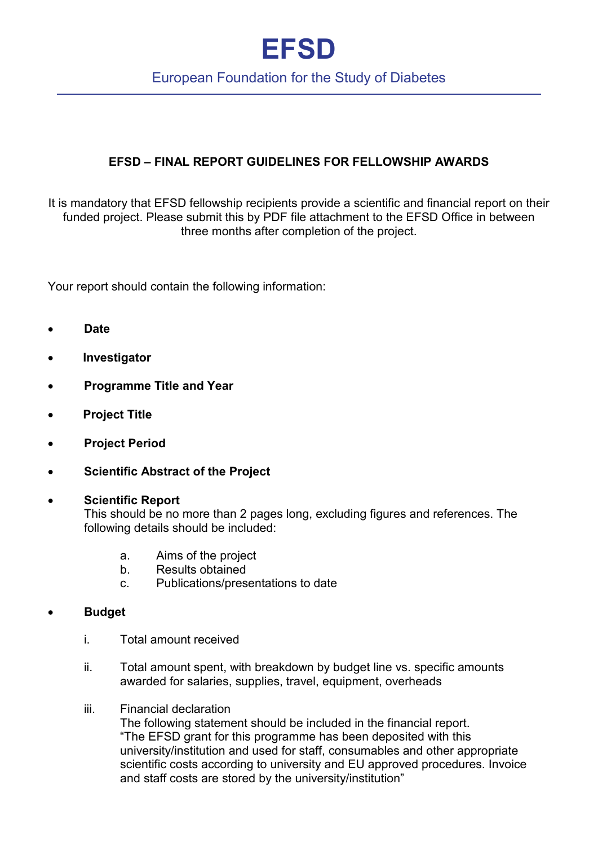# **EFSD**

### European Foundation for the Study of Diabetes

### **EFSD – FINAL REPORT GUIDELINES FOR FELLOWSHIP AWARDS**

It is mandatory that EFSD fellowship recipients provide a scientific and financial report on their funded project. Please submit this by PDF file attachment to the EFSD Office in between three months after completion of the project.

Your report should contain the following information:

- **Date**
- • **Investigator**
- **Programme Title and Year**
- • **Project Title**
- **Project Period**
- **Scientific Abstract of the Project**

#### • **Scientific Report**

This should be no more than 2 pages long, excluding figures and references. The following details should be included:

- a. Aims of the project
- b. Results obtained
- c. Publications/presentations to date
- **Budget** 
	- i. Total amount received
	- ii. Total amount spent, with breakdown by budget line vs. specific amounts awarded for salaries, supplies, travel, equipment, overheads
	- iii. Financial declaration

The following statement should be included in the financial report. "The EFSD grant for this programme has been deposited with this university/institution and used for staff, consumables and other appropriate scientific costs according to university and EU approved procedures. Invoice and staff costs are stored by the university/institution"